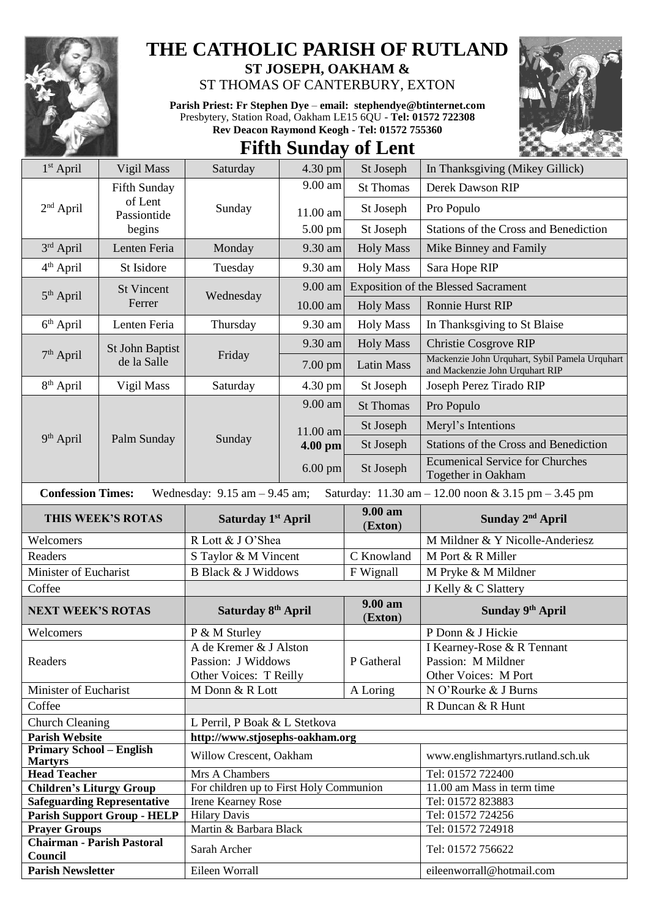

## **THE CATHOLIC PARISH OF RUTLAND ST JOSEPH, OAKHAM &**

ST THOMAS OF CANTERBURY, EXTON

**Parish Priest: Fr Stephen Dye** – **[email: stephendye@btinternet.com](mailto:email:%20%20stephendye@btinternet.com)** Presbytery, Station Road, Oakham LE15 6QU - **Tel: 01572 722308 Rev Deacon Raymond Keogh - Tel: 01572 755360**



## **Fifth Sunday of Lent**

| 1 <sup>st</sup> April                                                                                                                                   | Vigil Mass                     | Saturday                                | 4.30 pm             | St Joseph                                  | In Thanksgiving (Mikey Gillick)                                                   |  |
|---------------------------------------------------------------------------------------------------------------------------------------------------------|--------------------------------|-----------------------------------------|---------------------|--------------------------------------------|-----------------------------------------------------------------------------------|--|
|                                                                                                                                                         | Fifth Sunday                   |                                         | 9.00 am             | <b>St Thomas</b>                           | Derek Dawson RIP                                                                  |  |
| $2nd$ April                                                                                                                                             | of Lent<br>Passiontide         | Sunday                                  | 11.00 am            | St Joseph                                  | Pro Populo                                                                        |  |
|                                                                                                                                                         | begins                         |                                         | 5.00 pm             | St Joseph                                  | Stations of the Cross and Benediction                                             |  |
| 3rd April                                                                                                                                               | Lenten Feria                   | Monday                                  | 9.30 am             | <b>Holy Mass</b>                           | Mike Binney and Family                                                            |  |
| 4 <sup>th</sup> April                                                                                                                                   | St Isidore                     | Tuesday                                 | 9.30 am             | <b>Holy Mass</b>                           | Sara Hope RIP                                                                     |  |
| $5th$ April                                                                                                                                             | <b>St Vincent</b><br>Ferrer    | Wednesday                               | 9.00 am             | <b>Exposition of the Blessed Sacrament</b> |                                                                                   |  |
|                                                                                                                                                         |                                |                                         | 10.00 am            | <b>Holy Mass</b>                           | Ronnie Hurst RIP                                                                  |  |
| $6th$ April                                                                                                                                             | Lenten Feria                   | Thursday                                | 9.30 am             | <b>Holy Mass</b>                           | In Thanksgiving to St Blaise                                                      |  |
| $7th$ April                                                                                                                                             | St John Baptist<br>de la Salle | Friday                                  | 9.30 am             | <b>Holy Mass</b>                           | Christie Cosgrove RIP                                                             |  |
|                                                                                                                                                         |                                |                                         | 7.00 pm             | <b>Latin Mass</b>                          | Mackenzie John Urquhart, Sybil Pamela Urquhart<br>and Mackenzie John Urquhart RIP |  |
| 8 <sup>th</sup> April                                                                                                                                   | Vigil Mass                     | Saturday                                | 4.30 pm             | St Joseph                                  | Joseph Perez Tirado RIP                                                           |  |
|                                                                                                                                                         | Palm Sunday                    | Sunday                                  | 9.00 am             | <b>St Thomas</b>                           | Pro Populo                                                                        |  |
|                                                                                                                                                         |                                |                                         | 11.00 am<br>4.00 pm | St Joseph                                  | Meryl's Intentions                                                                |  |
| 9 <sup>th</sup> April                                                                                                                                   |                                |                                         |                     | St Joseph                                  | Stations of the Cross and Benediction                                             |  |
|                                                                                                                                                         |                                |                                         | $6.00$ pm           | St Joseph                                  | <b>Ecumenical Service for Churches</b><br>Together in Oakham                      |  |
| <b>Confession Times:</b><br>Wednesday: $9.15$ am $- 9.45$ am;<br>Saturday: $11.30 \text{ am} - 12.00 \text{ noon} \& 3.15 \text{ pm} - 3.45 \text{ pm}$ |                                |                                         |                     |                                            |                                                                                   |  |
| THIS WEEK'S ROTAS                                                                                                                                       |                                | Saturday 1 <sup>st</sup> April          |                     | 9.00 am<br>(Exton)                         | Sunday 2 <sup>nd</sup> April                                                      |  |
| Welcomers                                                                                                                                               |                                | R Lott & J O'Shea                       |                     |                                            | M Mildner & Y Nicolle-Anderiesz                                                   |  |
| Readers                                                                                                                                                 |                                | S Taylor & M Vincent                    |                     | C Knowland                                 | M Port & R Miller                                                                 |  |
| Minister of Eucharist                                                                                                                                   |                                | <b>B Black &amp; J Widdows</b>          |                     | F Wignall                                  | M Pryke & M Mildner                                                               |  |
| Coffee                                                                                                                                                  |                                |                                         |                     |                                            | J Kelly & C Slattery                                                              |  |
| <b>NEXT WEEK'S ROTAS</b>                                                                                                                                |                                | Saturday 8th April                      |                     | 9.00 am<br>(Exton)                         | Sunday 9th April                                                                  |  |
| Welcomers                                                                                                                                               |                                | P & M Sturley                           |                     |                                            | P Donn & J Hickie                                                                 |  |
|                                                                                                                                                         |                                | A de Kremer & J Alston                  |                     |                                            | I Kearney-Rose & R Tennant                                                        |  |
| Readers                                                                                                                                                 |                                | Passion: J Widdows                      |                     | P Gatheral                                 | Passion: M Mildner                                                                |  |
|                                                                                                                                                         |                                | Other Voices: T Reilly                  |                     |                                            | Other Voices: M Port                                                              |  |
| Minister of Eucharist                                                                                                                                   |                                | M Donn & R Lott                         | A Loring            |                                            | N O'Rourke & J Burns                                                              |  |
| Coffee                                                                                                                                                  |                                | R Duncan & R Hunt                       |                     |                                            |                                                                                   |  |
| <b>Church Cleaning</b>                                                                                                                                  |                                | L Perril, P Boak & L Stetkova           |                     |                                            |                                                                                   |  |
| <b>Parish Website</b><br><b>Primary School - English</b>                                                                                                |                                | http://www.stjosephs-oakham.org         |                     |                                            |                                                                                   |  |
| <b>Martyrs</b>                                                                                                                                          |                                | Willow Crescent, Oakham                 |                     |                                            | www.englishmartyrs.rutland.sch.uk                                                 |  |
| <b>Head Teacher</b>                                                                                                                                     |                                | Mrs A Chambers                          |                     |                                            | Tel: 01572 722400                                                                 |  |
| <b>Children's Liturgy Group</b>                                                                                                                         |                                | For children up to First Holy Communion |                     |                                            | 11.00 am Mass in term time                                                        |  |
| <b>Safeguarding Representative</b>                                                                                                                      |                                | <b>Irene Kearney Rose</b>               |                     |                                            | Tel: 01572 823883                                                                 |  |
| <b>Parish Support Group - HELP</b>                                                                                                                      |                                | <b>Hilary Davis</b>                     |                     |                                            | Tel: 01572 724256<br>Tel: 01572 724918                                            |  |
| <b>Prayer Groups</b><br><b>Chairman - Parish Pastoral</b>                                                                                               |                                | Martin & Barbara Black                  |                     |                                            |                                                                                   |  |
|                                                                                                                                                         |                                |                                         |                     |                                            |                                                                                   |  |
| Council                                                                                                                                                 |                                | Sarah Archer                            |                     |                                            | Tel: 01572 756622                                                                 |  |